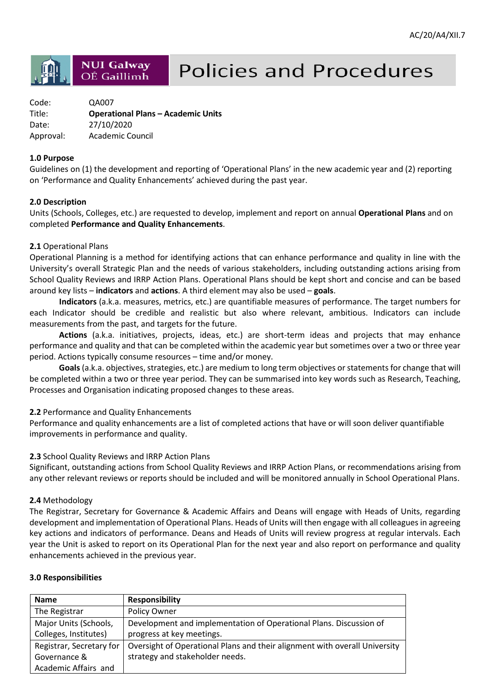## **NUI Galway** OÉ Gaillimh

# **Policies and Procedures**

| Code:     | QA007                                     |
|-----------|-------------------------------------------|
| Title:    | <b>Operational Plans - Academic Units</b> |
| Date:     | 27/10/2020                                |
| Approval: | Academic Council                          |

#### **1.0 Purpose**

Guidelines on (1) the development and reporting of 'Operational Plans' in the new academic year and (2) reporting on 'Performance and Quality Enhancements' achieved during the past year.

#### **2.0 Description**

Units (Schools, Colleges, etc.) are requested to develop, implement and report on annual **Operational Plans** and on completed **Performance and Quality Enhancements**.

#### **2.1** Operational Plans

Operational Planning is a method for identifying actions that can enhance performance and quality in line with the University's overall Strategic Plan and the needs of various stakeholders, including outstanding actions arising from School Quality Reviews and IRRP Action Plans. Operational Plans should be kept short and concise and can be based around key lists – **indicators** and **actions**. A third element may also be used – **goals**.

**Indicators** (a.k.a. measures, metrics, etc.) are quantifiable measures of performance. The target numbers for each Indicator should be credible and realistic but also where relevant, ambitious. Indicators can include measurements from the past, and targets for the future.

**Actions** (a.k.a. initiatives, projects, ideas, etc.) are short-term ideas and projects that may enhance performance and quality and that can be completed within the academic year but sometimes over a two or three year period. Actions typically consume resources – time and/or money.

**Goals** (a.k.a. objectives, strategies, etc.) are medium to long term objectives or statements for change that will be completed within a two or three year period. They can be summarised into key words such as Research, Teaching, Processes and Organisation indicating proposed changes to these areas.

#### **2.2** Performance and Quality Enhancements

Performance and quality enhancements are a list of completed actions that have or will soon deliver quantifiable improvements in performance and quality.

#### **2.3** School Quality Reviews and IRRP Action Plans

Significant, outstanding actions from School Quality Reviews and IRRP Action Plans, or recommendations arising from any other relevant reviews or reports should be included and will be monitored annually in School Operational Plans.

#### **2.4** Methodology

The Registrar, Secretary for Governance & Academic Affairs and Deans will engage with Heads of Units, regarding development and implementation of Operational Plans. Heads of Units will then engage with all colleagues in agreeing key actions and indicators of performance. Deans and Heads of Units will review progress at regular intervals. Each year the Unit is asked to report on its Operational Plan for the next year and also report on performance and quality enhancements achieved in the previous year.

#### **3.0 Responsibilities**

| <b>Name</b>                                    | <b>Responsibility</b>                                                                           |
|------------------------------------------------|-------------------------------------------------------------------------------------------------|
| The Registrar                                  | Policy Owner                                                                                    |
| Major Units (Schools,<br>Colleges, Institutes) | Development and implementation of Operational Plans. Discussion of<br>progress at key meetings. |
| Registrar, Secretary for                       | Oversight of Operational Plans and their alignment with overall University                      |
| Governance &                                   | strategy and stakeholder needs.                                                                 |
| Academic Affairs and                           |                                                                                                 |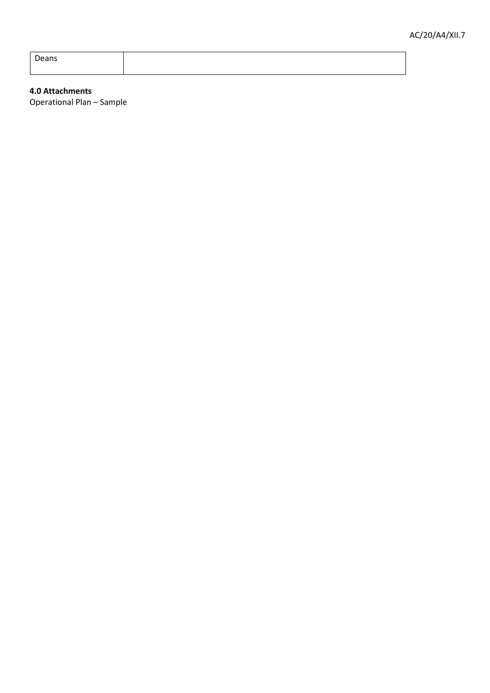Deans

#### **4.0 Attachments**

Operational Plan – Sample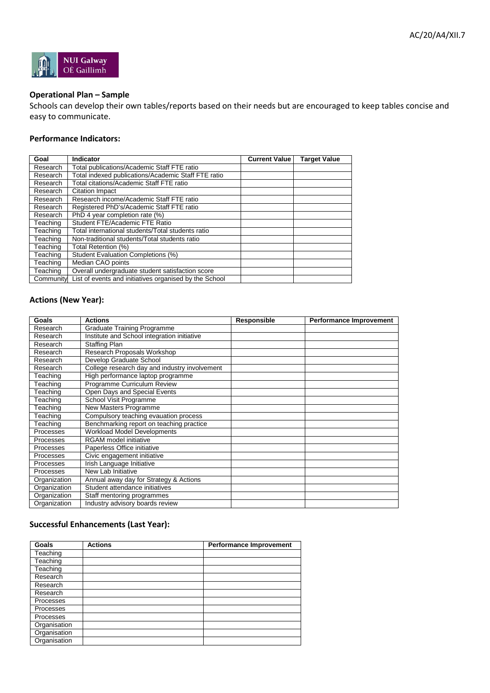

#### **Operational Plan – Sample**

Schools can develop their own tables/reports based on their needs but are encouraged to keep tables concise and easy to communicate.

#### **Performance Indicators:**

| Goal      | Indicator                                              | <b>Current Value</b> | <b>Target Value</b> |
|-----------|--------------------------------------------------------|----------------------|---------------------|
| Research  | Total publications/Academic Staff FTE ratio            |                      |                     |
| Research  | Total indexed publications/Academic Staff FTE ratio    |                      |                     |
| Research  | Total citations/Academic Staff FTE ratio               |                      |                     |
| Research  | <b>Citation Impact</b>                                 |                      |                     |
| Research  | Research income/Academic Staff FTE ratio               |                      |                     |
| Research  | Registered PhD's/Academic Staff FTE ratio              |                      |                     |
| Research  | PhD 4 year completion rate (%)                         |                      |                     |
| Teaching  | Student FTE/Academic FTE Ratio                         |                      |                     |
| Teaching  | Total international students/Total students ratio      |                      |                     |
| Teaching  | Non-traditional students/Total students ratio          |                      |                     |
| Teaching  | Total Retention (%)                                    |                      |                     |
| Teaching  | Student Evaluation Completions (%)                     |                      |                     |
| Teaching  | Median CAO points                                      |                      |                     |
| Teaching  | Overall undergraduate student satisfaction score       |                      |                     |
| Community | List of events and initiatives organised by the School |                      |                     |

### **Actions (New Year):**

| Goals        | <b>Actions</b>                                | <b>Responsible</b> | <b>Performance Improvement</b> |
|--------------|-----------------------------------------------|--------------------|--------------------------------|
| Research     | <b>Graduate Training Programme</b>            |                    |                                |
| Research     | Institute and School integration initiative   |                    |                                |
| Research     | <b>Staffing Plan</b>                          |                    |                                |
| Research     | Research Proposals Workshop                   |                    |                                |
| Research     | Develop Graduate School                       |                    |                                |
| Research     | College research day and industry involvement |                    |                                |
| Teaching     | High performance laptop programme             |                    |                                |
| Teaching     | Programme Curriculum Review                   |                    |                                |
| Teaching     | Open Days and Special Events                  |                    |                                |
| Teaching     | School Visit Programme                        |                    |                                |
| Teaching     | New Masters Programme                         |                    |                                |
| Teaching     | Compulsory teaching evauation process         |                    |                                |
| Teaching     | Benchmarking report on teaching practice      |                    |                                |
| Processes    | <b>Workload Model Developments</b>            |                    |                                |
| Processes    | <b>RGAM</b> model initiative                  |                    |                                |
| Processes    | Paperless Office initiative                   |                    |                                |
| Processes    | Civic engagement initiative                   |                    |                                |
| Processes    | Irish Language Initiative                     |                    |                                |
| Processes    | New Lab Initiative                            |                    |                                |
| Organization | Annual away day for Strategy & Actions        |                    |                                |
| Organization | Student attendance initiatives                |                    |                                |
| Organization | Staff mentoring programmes                    |                    |                                |
| Organization | Industry advisory boards review               |                    |                                |

#### **Successful Enhancements (Last Year):**

| <b>Goals</b>     | <b>Actions</b> | <b>Performance Improvement</b> |
|------------------|----------------|--------------------------------|
| Teaching         |                |                                |
| Teaching         |                |                                |
| Teaching         |                |                                |
| Research         |                |                                |
| Research         |                |                                |
| Research         |                |                                |
| <b>Processes</b> |                |                                |
| <b>Processes</b> |                |                                |
| Processes        |                |                                |
| Organisation     |                |                                |
| Organisation     |                |                                |
| Organisation     |                |                                |